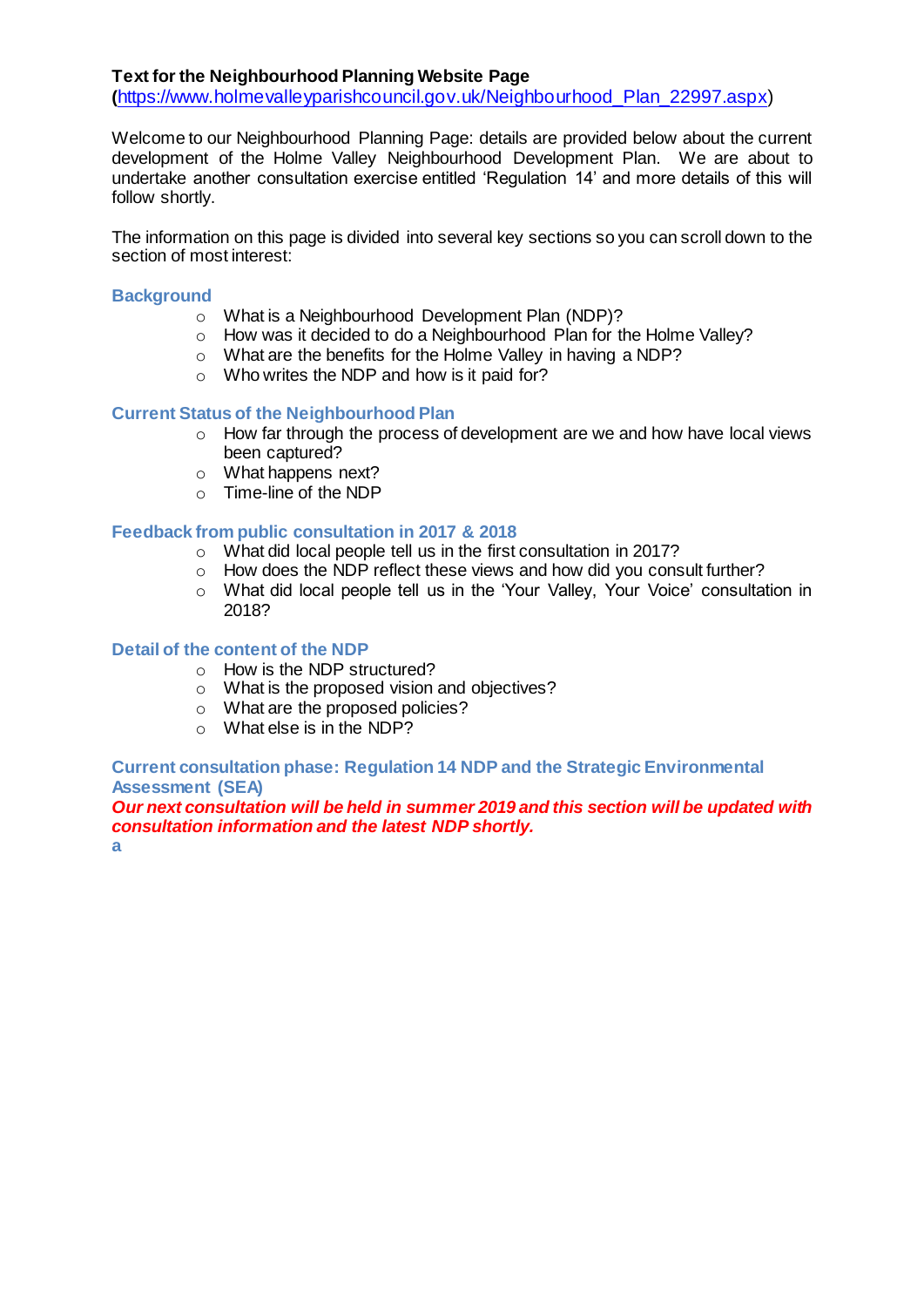## **Text for the Neighbourhood Planning Website Page**

**(**[https://www.holmevalleyparishcouncil.gov.uk/Neighbourhood\\_Plan\\_22997.aspx\)](https://www.holmevalleyparishcouncil.gov.uk/Neighbourhood_Plan_22997.aspx)

Welcome to our Neighbourhood Planning Page: details are provided below about the current development of the Holme Valley Neighbourhood Development Plan. We are about to undertake another consultation exercise entitled 'Regulation 14' and more details of this will follow shortly.

The information on this page is divided into several key sections so you can scroll down to the section of most interest:

### **Background**

- o What is a Neighbourhood Development Plan (NDP)?
- o How was it decided to do a Neighbourhood Plan for the Holme Valley?
- o What are the benefits for the Holme Valley in having a NDP?
- o Who writes the NDP and how is it paid for?

### **Current Status of the Neighbourhood Plan**

- o How far through the process of development are we and how have local views been captured?
- o What happens next?
- o Time-line of the NDP

### **Feedback from public consultation in 2017 & 2018**

- o What did local people tell us in the first consultation in 2017?
- $\circ$  How does the NDP reflect these views and how did you consult further?
- o What did local people tell us in the 'Your Valley, Your Voice' consultation in 2018?

### **Detail of the content of the NDP**

- o How is the NDP structured?
- o What is the proposed vision and objectives?
- o What are the proposed policies?
- o What else is in the NDP?

**Current consultation phase: Regulation 14 NDP and the Strategic Environmental Assessment (SEA)** 

*Our next consultation will be held in summer 2019 and this section will be updated with consultation information and the latest NDP shortly.* **a**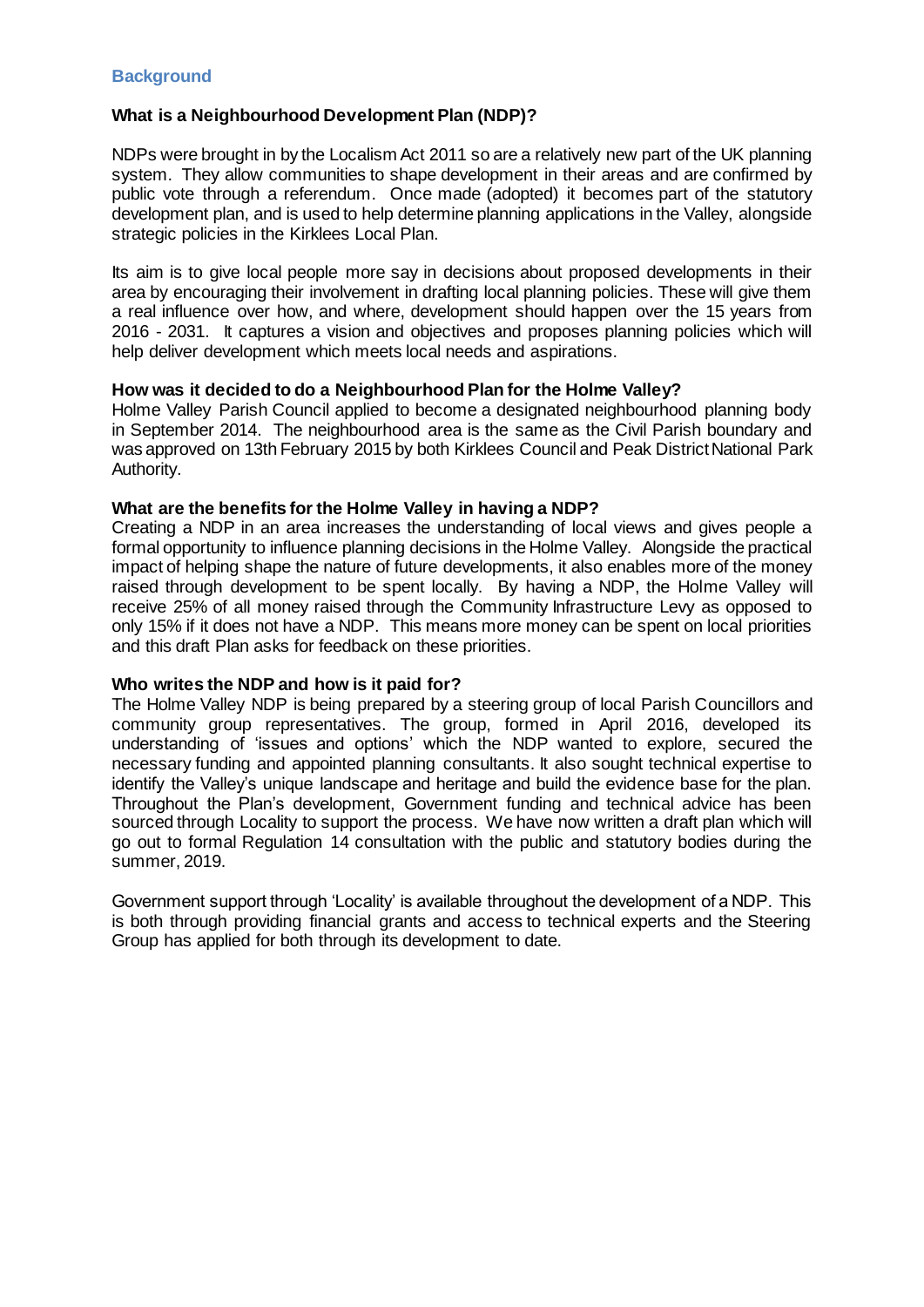## **Background**

### **What is a Neighbourhood Development Plan (NDP)?**

NDPs were brought in by the Localism Act 2011 so are a relatively new part of the UK planning system. They allow communities to shape development in their areas and are confirmed by public vote through a referendum. Once made (adopted) it becomes part of the statutory development plan, and is used to help determine planning applications in the Valley, alongside strategic policies in the Kirklees Local Plan.

Its aim is to give local people more say in decisions about proposed developments in their area by encouraging their involvement in drafting local planning policies. These will give them a real influence over how, and where, development should happen over the 15 years from 2016 - 2031. It captures a vision and objectives and proposes planning policies which will help deliver development which meets local needs and aspirations.

### **How was it decided to do a Neighbourhood Plan for the Holme Valley?**

Holme Valley Parish Council applied to become a designated neighbourhood planning body in September 2014. The neighbourhood area is the same as the Civil Parish boundary and was approved on 13th February 2015 by both Kirklees Council and Peak District National Park Authority.

### **What are the benefits for the Holme Valley in having a NDP?**

Creating a NDP in an area increases the understanding of local views and gives people a formal opportunity to influence planning decisions in the Holme Valley. Alongside the practical impact of helping shape the nature of future developments, it also enables more of the money raised through development to be spent locally. By having a NDP, the Holme Valley will receive 25% of all money raised through the Community Infrastructure Levy as opposed to only 15% if it does not have a NDP. This means more money can be spent on local priorities and this draft Plan asks for feedback on these priorities.

### **Who writes the NDP and how is it paid for?**

The Holme Valley NDP is being prepared by a steering group of local Parish Councillors and community group representatives. The group, formed in April 2016, developed its understanding of 'issues and options' which the NDP wanted to explore, secured the necessary funding and appointed planning consultants. It also sought technical expertise to identify the Valley's unique landscape and heritage and build the evidence base for the plan. Throughout the Plan's development, Government funding and technical advice has been sourced through Locality to support the process. We have now written a draft plan which will go out to formal Regulation 14 consultation with the public and statutory bodies during the summer, 2019.

Government support through 'Locality' is available throughout the development of a NDP. This is both through providing financial grants and access to technical experts and the Steering Group has applied for both through its development to date.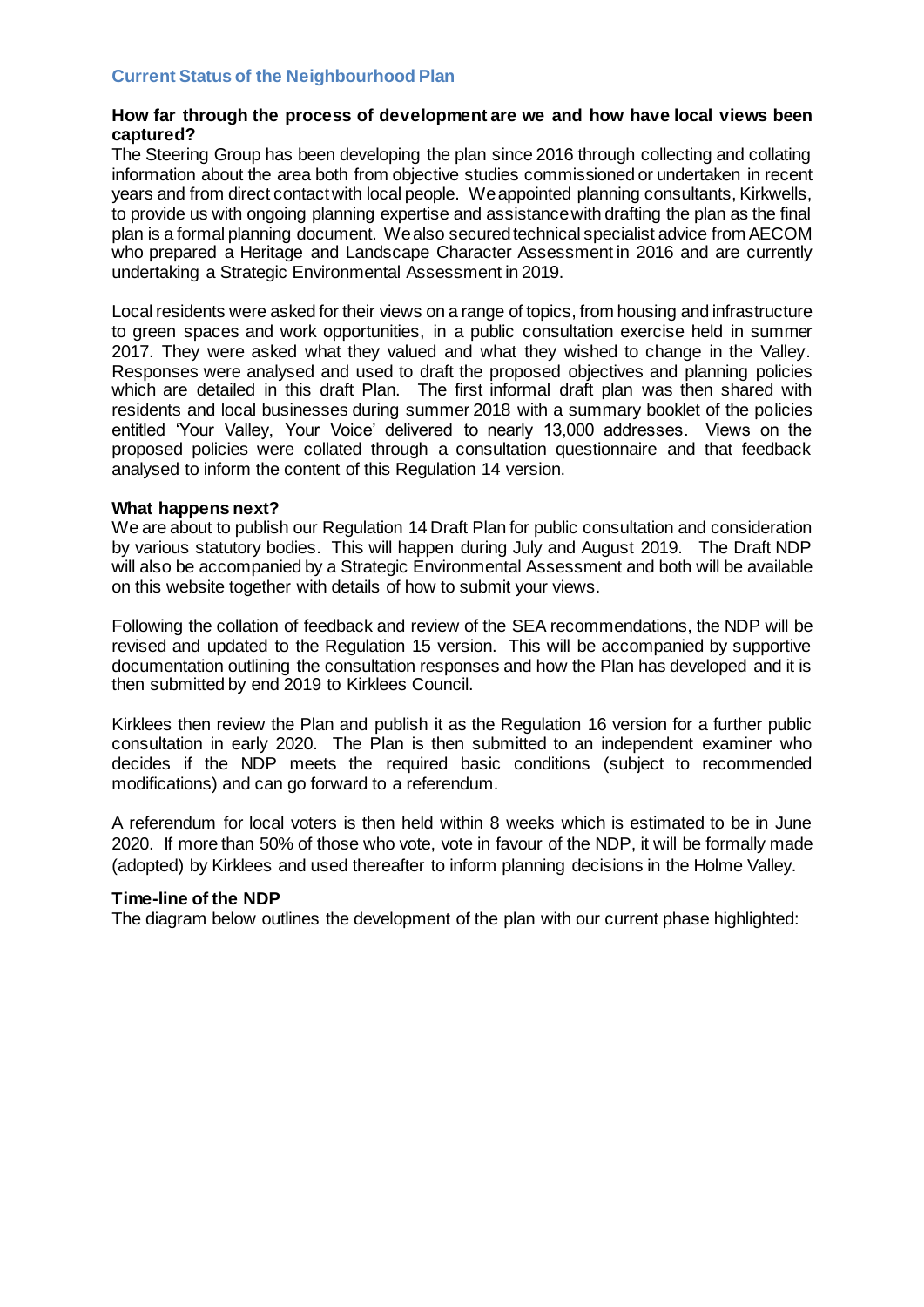## **Current Status of the Neighbourhood Plan**

### **How far through the process of development are we and how have local views been captured?**

The Steering Group has been developing the plan since 2016 through collecting and collating information about the area both from objective studies commissioned or undertaken in recent years and from direct contact with local people. We appointed planning consultants, Kirkwells, to provide us with ongoing planning expertise and assistance with drafting the plan as the final plan is a formal planning document. We also secured technical specialist advice from AECOM who prepared a Heritage and Landscape Character Assessment in 2016 and are currently undertaking a Strategic Environmental Assessment in 2019.

Local residents were asked for their views on a range of topics, from housing and infrastructure to green spaces and work opportunities, in a public consultation exercise held in summer 2017. They were asked what they valued and what they wished to change in the Valley. Responses were analysed and used to draft the proposed objectives and planning policies which are detailed in this draft Plan. The first informal draft plan was then shared with residents and local businesses during summer 2018 with a summary booklet of the policies entitled 'Your Valley, Your Voice' delivered to nearly 13,000 addresses. Views on the proposed policies were collated through a consultation questionnaire and that feedback analysed to inform the content of this Regulation 14 version.

#### **What happens next?**

We are about to publish our Regulation 14 Draft Plan for public consultation and consideration by various statutory bodies. This will happen during July and August 2019. The Draft NDP will also be accompanied by a Strategic Environmental Assessment and both will be available on this website together with details of how to submit your views.

Following the collation of feedback and review of the SEA recommendations, the NDP will be revised and updated to the Regulation 15 version. This will be accompanied by supportive documentation outlining the consultation responses and how the Plan has developed and it is then submitted by end 2019 to Kirklees Council.

Kirklees then review the Plan and publish it as the Regulation 16 version for a further public consultation in early 2020. The Plan is then submitted to an independent examiner who decides if the NDP meets the required basic conditions (subject to recommended modifications) and can go forward to a referendum.

A referendum for local voters is then held within 8 weeks which is estimated to be in June 2020. If more than 50% of those who vote, vote in favour of the NDP, it will be formally made (adopted) by Kirklees and used thereafter to inform planning decisions in the Holme Valley.

### **Time-line of the NDP**

The diagram below outlines the development of the plan with our current phase highlighted: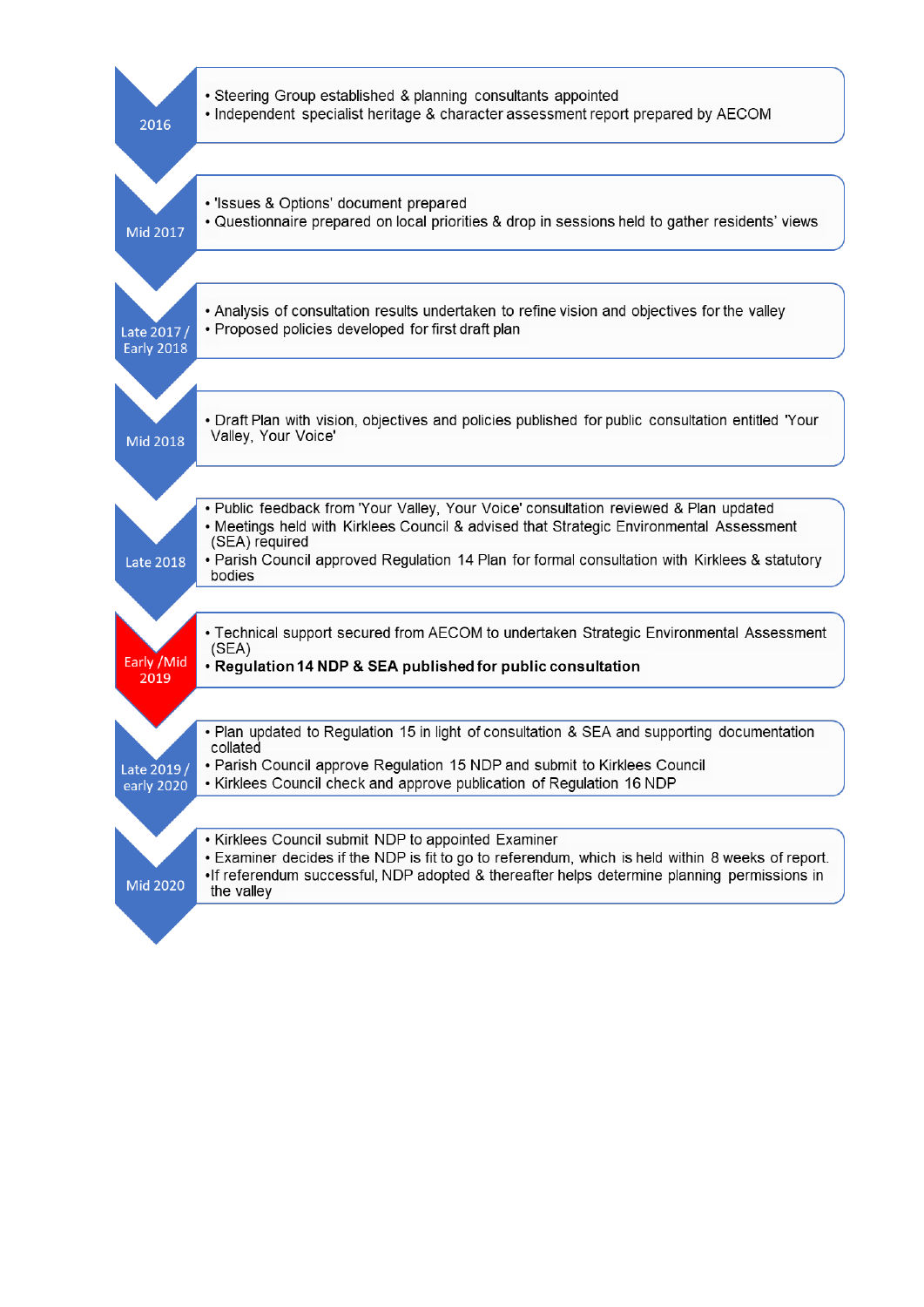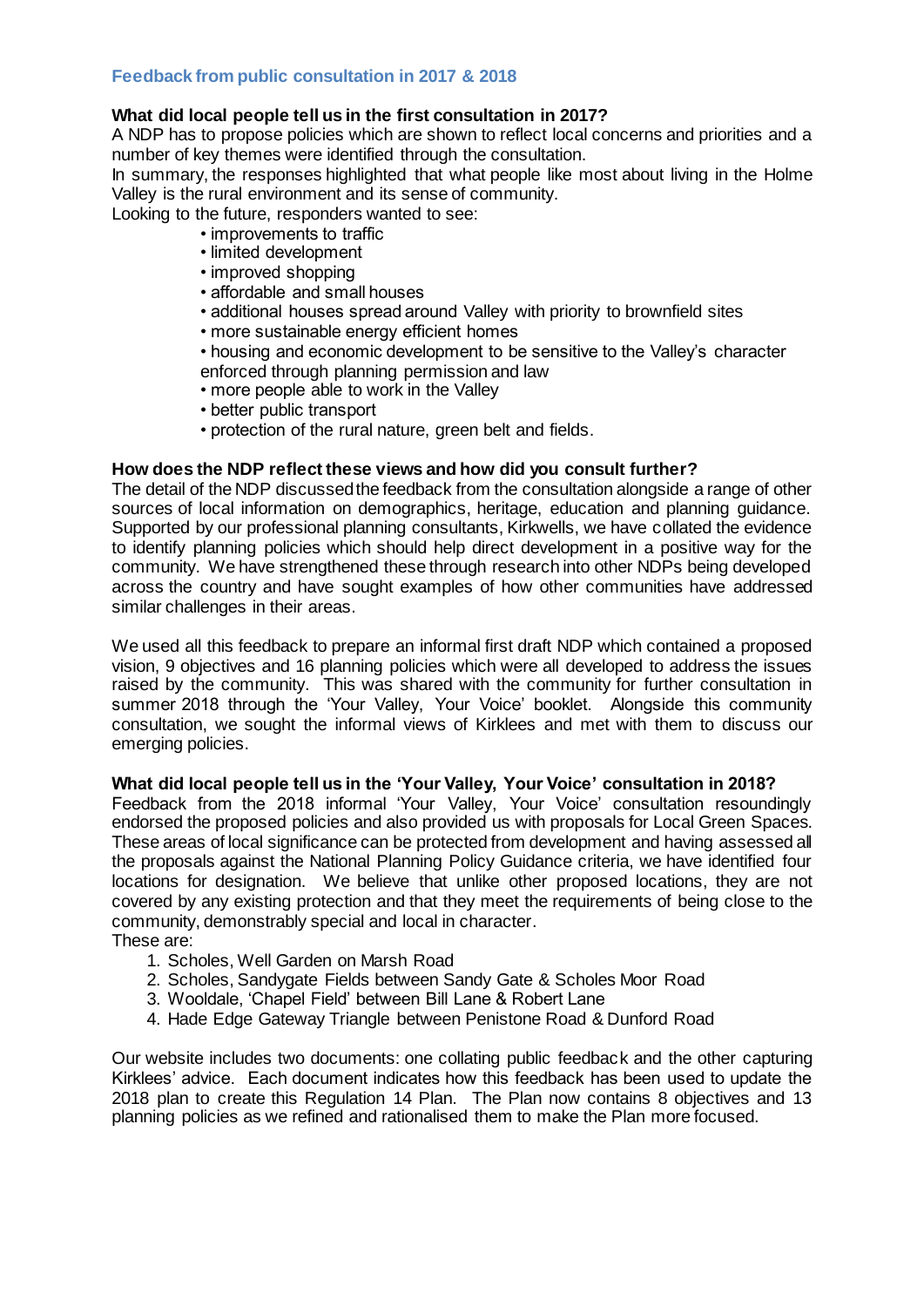## **Feedback from public consultation in 2017 & 2018**

## **What did local people tell us in the first consultation in 2017?**

A NDP has to propose policies which are shown to reflect local concerns and priorities and a number of key themes were identified through the consultation.

In summary, the responses highlighted that what people like most about living in the Holme Valley is the rural environment and its sense of community.

Looking to the future, responders wanted to see:

- improvements to traffic
- limited development
- improved shopping
- affordable and small houses
- additional houses spread around Valley with priority to brownfield sites
- more sustainable energy efficient homes
- housing and economic development to be sensitive to the Valley's character enforced through planning permission and law
- more people able to work in the Valley
- better public transport
- protection of the rural nature, green belt and fields.

## **How does the NDP reflect these views and how did you consult further?**

The detail of the NDP discussed the feedback from the consultation alongside a range of other sources of local information on demographics, heritage, education and planning guidance. Supported by our professional planning consultants, Kirkwells, we have collated the evidence to identify planning policies which should help direct development in a positive way for the community. We have strengthened these through research into other NDPs being developed across the country and have sought examples of how other communities have addressed similar challenges in their areas.

We used all this feedback to prepare an informal first draft NDP which contained a proposed vision, 9 objectives and 16 planning policies which were all developed to address the issues raised by the community. This was shared with the community for further consultation in summer 2018 through the 'Your Valley, Your Voice' booklet. Alongside this community consultation, we sought the informal views of Kirklees and met with them to discuss our emerging policies.

### **What did local people tell us in the 'Your Valley, Your Voice' consultation in 2018?**

Feedback from the 2018 informal 'Your Valley, Your Voice' consultation resoundingly endorsed the proposed policies and also provided us with proposals for Local Green Spaces. These areas of local significance can be protected from development and having assessed all the proposals against the National Planning Policy Guidance criteria, we have identified four locations for designation. We believe that unlike other proposed locations, they are not covered by any existing protection and that they meet the requirements of being close to the community, demonstrably special and local in character.

These are:

- 1. Scholes, Well Garden on Marsh Road
- 2. Scholes, Sandygate Fields between Sandy Gate & Scholes Moor Road
- 3. Wooldale, 'Chapel Field' between Bill Lane & Robert Lane
- 4. Hade Edge Gateway Triangle between Penistone Road & Dunford Road

Our website includes two documents: one collating public feedback and the other capturing Kirklees' advice. Each document indicates how this feedback has been used to update the 2018 plan to create this Regulation 14 Plan. The Plan now contains 8 objectives and 13 planning policies as we refined and rationalised them to make the Plan more focused.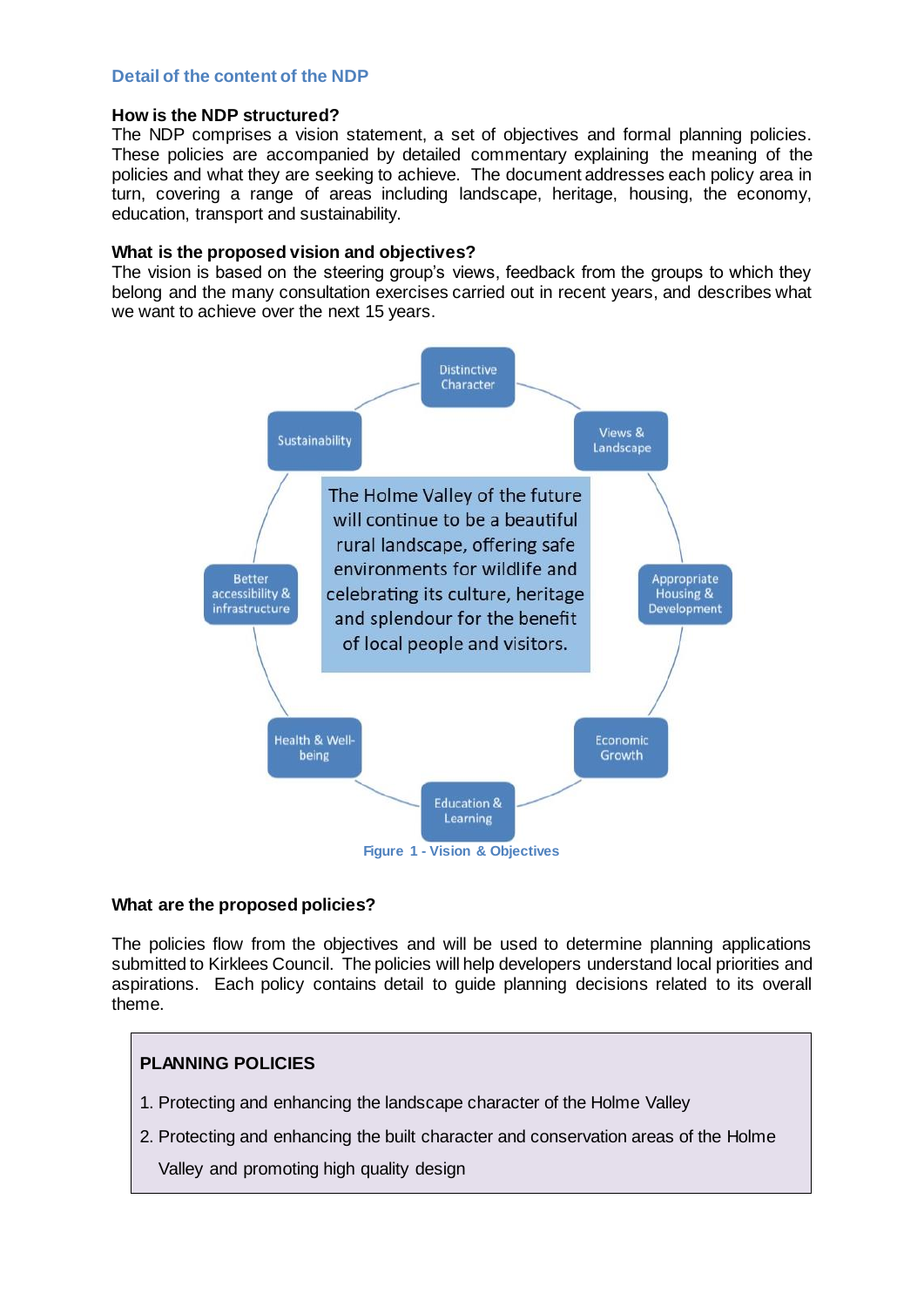## **Detail of the content of the NDP**

## **How is the NDP structured?**

The NDP comprises a vision statement, a set of objectives and formal planning policies. These policies are accompanied by detailed commentary explaining the meaning of the policies and what they are seeking to achieve. The document addresses each policy area in turn, covering a range of areas including landscape, heritage, housing, the economy, education, transport and sustainability.

### **What is the proposed vision and objectives?**

The vision is based on the steering group's views, feedback from the groups to which they belong and the many consultation exercises carried out in recent years, and describes what we want to achieve over the next 15 years.



## **What are the proposed policies?**

The policies flow from the objectives and will be used to determine planning applications submitted to Kirklees Council. The policies will help developers understand local priorities and aspirations. Each policy contains detail to guide planning decisions related to its overall theme.

# **PLANNING POLICIES**

- 1. Protecting and enhancing the landscape character of the Holme Valley
- 2. Protecting and enhancing the built character and conservation areas of the Holme
	- Valley and promoting high quality design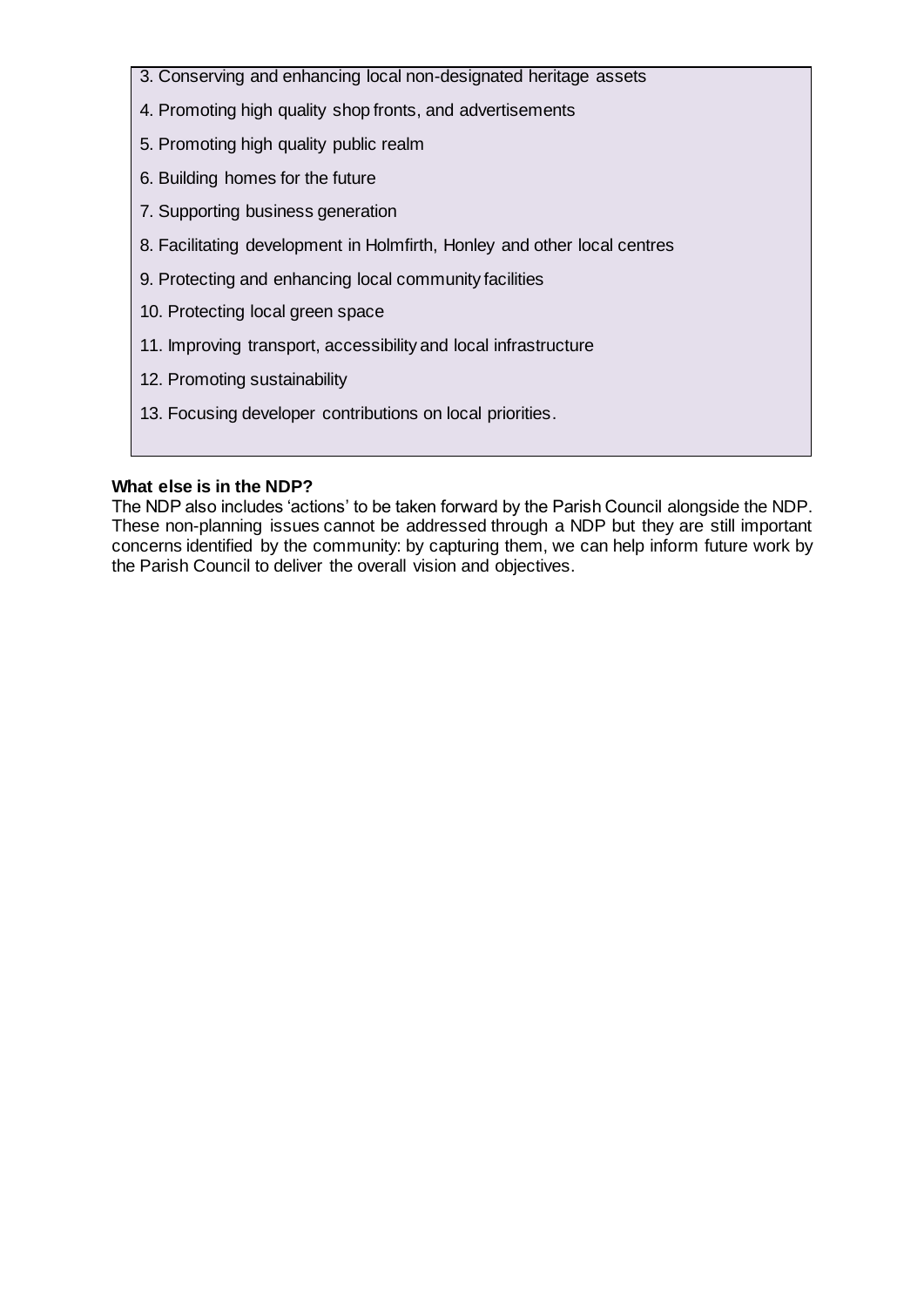- 3. Conserving and enhancing local non-designated heritage assets
- 4. Promoting high quality shop fronts, and advertisements
- 5. Promoting high quality public realm
- 6. Building homes for the future
- 7. Supporting business generation
- 8. Facilitating development in Holmfirth, Honley and other local centres
- 9. Protecting and enhancing local community facilities
- 10. Protecting local green space
- 11. Improving transport, accessibility and local infrastructure
- 12. Promoting sustainability
- 13. Focusing developer contributions on local priorities.

## **What else is in the NDP?**

The NDP also includes 'actions' to be taken forward by the Parish Council alongside the NDP. These non-planning issues cannot be addressed through a NDP but they are still important concerns identified by the community: by capturing them, we can help inform future work by the Parish Council to deliver the overall vision and objectives.